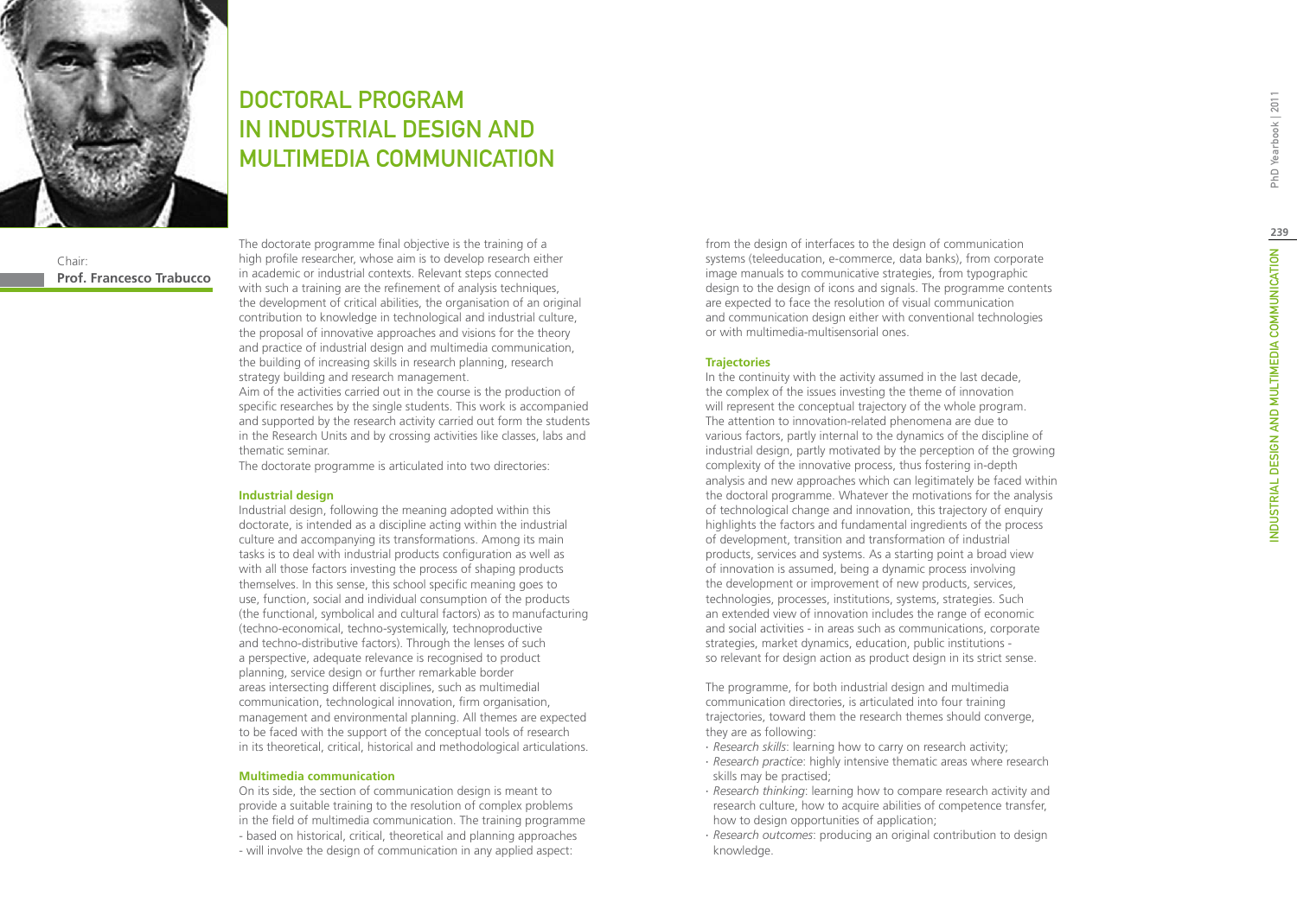

# **239**

PhD Yearbook | 2011

The programme, for both industrial design and multimedia communication directories, is articulated into four training trajectories, toward them the research themes should converge, they are as following:

- ∙ *Research skills*: learning how to carry on research activity;
- ∙ *Research practice*: highly intensive thematic areas where research skills may be practised;
- ∙ *Research thinking*: learning how to compare research activity and research culture, how to acquire abilities of competence transfer, how to design opportunities of application;
- ∙ *Research outcomes*: producing an original contribution to design knowledge.

DOCTORAL PROGRAM in INDUSTRIAL DESIGN AND MULTIMEDIA COMMUNICATION

Chair: **Prof. Francesco Trabucco**

**238**

The doctorate programme final objective is the training of a high profile researcher, whose aim is to develop research either in academic or industrial contexts. Relevant steps connected with such a training are the refinement of analysis techniques, the development of critical abilities, the organisation of an original contribution to knowledge in technological and industrial culture, the proposal of innovative approaches and visions for the theory and practice of industrial design and multimedia communication, the building of increasing skills in research planning, research strategy building and research management.

Aim of the activities carried out in the course is the production of specific researches by the single students. This work is accompanied and supported by the research activity carried out form the students in the Research Units and by crossing activities like classes, labs and thematic seminar.

The doctorate programme is articulated into two directories:

### **Industrial design**

Industrial design, following the meaning adopted within this doctorate, is intended as a discipline acting within the industrial culture and accompanying its transformations. Among its main tasks is to deal with industrial products configuration as well as with all those factors investing the process of shaping products themselves. In this sense, this school specific meaning goes to use, function, social and individual consumption of the products (the functional, symbolical and cultural factors) as to manufacturing (techno-economical, techno-systemically, technoproductive and techno-distributive factors). Through the lenses of such a perspective, adequate relevance is recognised to product planning, service design or further remarkable border areas intersecting different disciplines, such as multimedial communication, technological innovation, firm organisation, management and environmental planning. All themes are expected to be faced with the support of the conceptual tools of research in its theoretical, critical, historical and methodological articulations.

### **Multimedia communication**

On its side, the section of communication design is meant to provide a suitable training to the resolution of complex problems in the field of multimedia communication. The training programme - based on historical, critical, theoretical and planning approaches - will involve the design of communication in any applied aspect:

from the design of interfaces to the design of communication systems (teleeducation, e-commerce, data banks), from corporate image manuals to communicative strategies, from typographic design to the design of icons and signals. The programme contents are expected to face the resolution of visual communication and communication design either with conventional technologies or with multimedia-multisensorial ones.

### **Trajectories**

In the continuity with the activity assumed in the last decade, the complex of the issues investing the theme of innovation will represent the conceptual trajectory of the whole program. The attention to innovation-related phenomena are due to various factors, partly internal to the dynamics of the discipline of industrial design, partly motivated by the perception of the growing complexity of the innovative process, thus fostering in-depth analysis and new approaches which can legitimately be faced within the doctoral programme. Whatever the motivations for the analysis of technological change and innovation, this trajectory of enquiry highlights the factors and fundamental ingredients of the process of development, transition and transformation of industrial products, services and systems. As a starting point a broad view of innovation is assumed, being a dynamic process involving the development or improvement of new products, services, technologies, processes, institutions, systems, strategies. Such an extended view of innovation includes the range of economic and social activities - in areas such as communications, corporate strategies, market dynamics, education, public institutions so relevant for design action as product design in its strict sense.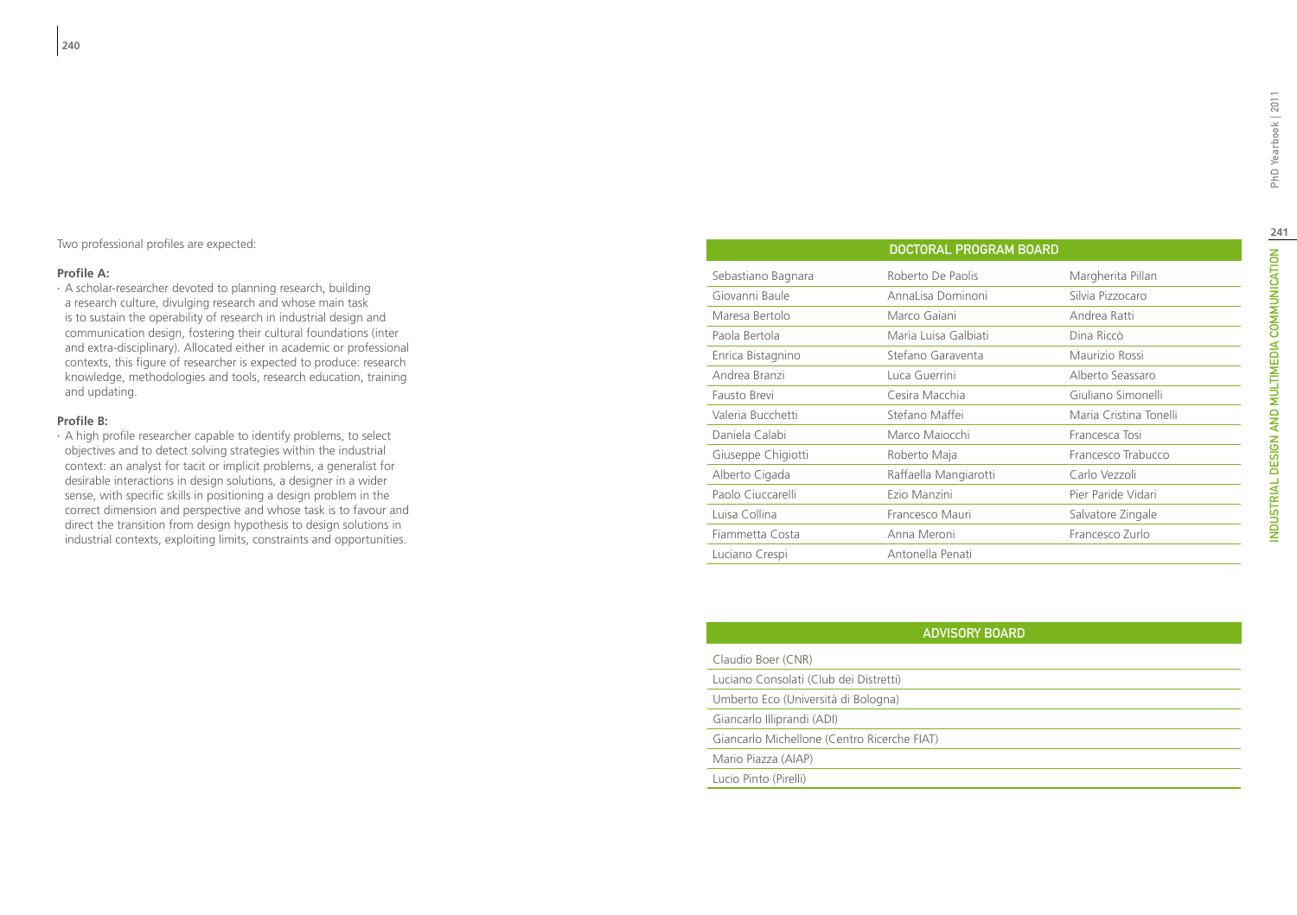### **Profile A:**

∙ A scholar-researcher devoted to planning research, building a research culture, divulging research and whose main task is to sustain the operability of research in industrial design and communication design, fostering their cultural foundations (inter and extra-disciplinary). Allocated either in academic or professional contexts, this figure of researcher is expected to produce: research knowledge, methodologies and tools, research education, training and updating.

### **Profile B:**

∙ A high profile researcher capable to identify problems, to select objectives and to detect solving strategies within the industrial context: an analyst for tacit or implicit problems, a generalist for desirable interactions in design solutions, a designer in a wider sense, with specific skills in positioning a design problem in the correct dimension and perspective and whose task is to favour and direct the transition from design hypothesis to design solutions in industrial contexts, exploiting limits, constraints and opportunities.

| <b>DOCTORAL PROGRAM BOARD</b> |                       |                        |
|-------------------------------|-----------------------|------------------------|
| Sebastiano Bagnara            | Roberto De Paolis     | Margherita Pillan      |
| Giovanni Baule                | AnnaLisa Dominoni     | Silvia Pizzocaro       |
| Maresa Bertolo                | Marco Gaiani          | Andrea Ratti           |
| Paola Bertola                 | Maria Luisa Galbiati  | Dina Riccò             |
| Enrica Bistagnino             | Stefano Garaventa     | Maurizio Rossi         |
| Andrea Branzi                 | Luca Guerrini         | Alberto Seassaro       |
| Fausto Brevi                  | Cesira Macchia        | Giuliano Simonelli     |
| Valeria Bucchetti             | Stefano Maffei        | Maria Cristina Tonelli |
| Daniela Calabi                | Marco Majocchi        | Francesca Tosi         |
| Giuseppe Chigiotti            | Roberto Maja          | Francesco Trabucco     |
| Alberto Cigada                | Raffaella Mangiarotti | Carlo Vezzoli          |
| Paolo Ciuccarelli             | Ezio Manzini          | Pier Paride Vidari     |
| Luisa Collina                 | Francesco Mauri       | Salvatore Zingale      |
| Fiammetta Costa               | Anna Meroni           | Francesco Zurlo        |
| Luciano Crespi                | Antonella Penati      |                        |

| <b>ADVISORY BOARD</b>                       |  |  |
|---------------------------------------------|--|--|
| Claudio Boer (CNR)                          |  |  |
| Luciano Consolati (Club dei Distretti)      |  |  |
| Umberto Eco (Università di Bologna)         |  |  |
| Giancarlo Illiprandi (ADI)                  |  |  |
| Giancarlo Michellone (Centro Ricerche FIAT) |  |  |
| Mario Piazza (AIAP)                         |  |  |
| Lucio Pinto (Pirelli)                       |  |  |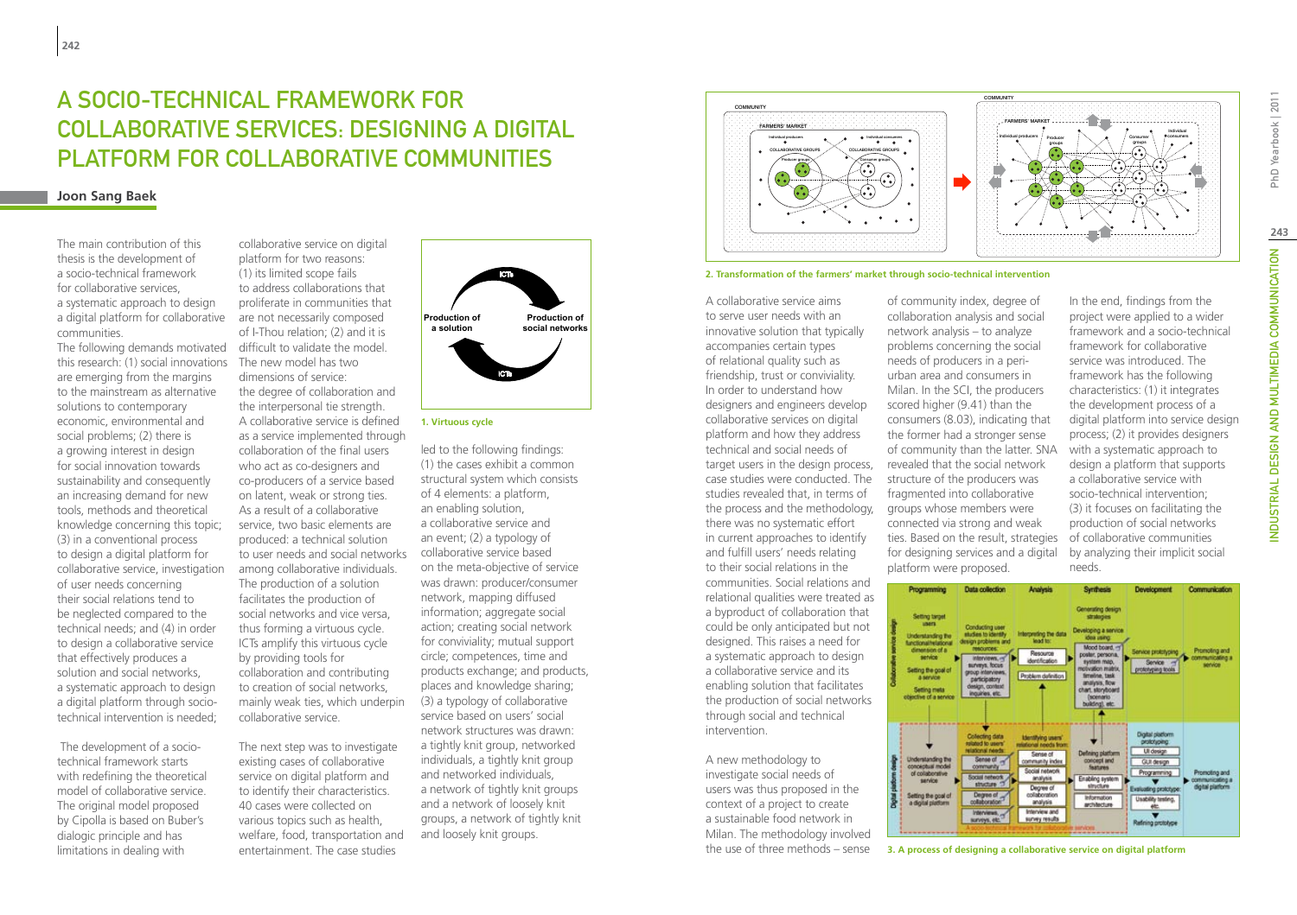# A SOCIO-TECHNICAL FRAMEWORK FOR COLLABORATIVE SERVICES: DESIGNING A DIGITAL PLATFORM FOR COLLABORATIVE COMMUNITIES

### **Joon Sang Baek**

The main contribution of this thesis is the development of a socio-technical framework for collaborative services, a systematic approach to design a digital platform for collaborative communities.

The following demands motivated this research: (1) social innovations are emerging from the margins to the mainstream as alternative solutions to contemporary economic, environmental and social problems; (2) there is a growing interest in design for social innovation towards sustainability and consequently an increasing demand for new tools, methods and theoretical knowledge concerning this topic; (3) in a conventional process to design a digital platform for collaborative service, investigation of user needs concerning their social relations tend to be neglected compared to the technical needs; and (4) in order to design a collaborative service that effectively produces a solution and social networks, a systematic approach to design a digital platform through sociotechnical intervention is needed;

 The development of a sociotechnical framework starts with redefining the theoretical model of collaborative service. The original model proposed by Cipolla is based on Buber's dialogic principle and has limitations in dealing with

collaborative service on digital platform for two reasons: (1) its limited scope fails to address collaborations that proliferate in communities that are not necessarily composed of I-Thou relation; (2) and it is difficult to validate the model. The new model has two dimensions of service: the degree of collaboration and the interpersonal tie strength. A collaborative service is defined as a service implemented through collaboration of the final users who act as co-designers and co-producers of a service based on latent, weak or strong ties. As a result of a collaborative service, two basic elements are produced: a technical solution to user needs and social networks among collaborative individuals. The production of a solution facilitates the production of social networks and vice versa, thus forming a virtuous cycle. ICTs amplify this virtuous cycle by providing tools for collaboration and contributing to creation of social networks, mainly weak ties, which underpin collaborative service.

The next step was to investigate existing cases of collaborative service on digital platform and to identify their characteristics. 40 cases were collected on various topics such as health, welfare, food, transportation and entertainment. The case studies



**1. Virtuous cycle**

led to the following findings: (1) the cases exhibit a common structural system which consists of 4 elements: a platform, an enabling solution, a collaborative service and an event; (2) a typology of collaborative service based on the meta-objective of service was drawn: producer/consumer network, mapping diffused information; aggregate social action; creating social network for conviviality; mutual support circle; competences, time and products exchange; and products, places and knowledge sharing; (3) a typology of collaborative service based on users' social network structures was drawn: a tightly knit group, networked individuals, a tightly knit group and networked individuals, a network of tightly knit groups and a network of loosely knit groups, a network of tightly knit and loosely knit groups.





A collaborative service aims to serve user needs with an innovative solution that typically accompanies certain types of relational quality such as friendship, trust or conviviality. In order to understand how designers and engineers develop collaborative services on digital platform and how they address technical and social needs of target users in the design process, case studies were conducted. The studies revealed that, in terms of the process and the methodology, there was no systematic effort in current approaches to identify and fulfill users' needs relating to their social relations in the communities. Social relations and relational qualities were treated as a byproduct of collaboration that could be only anticipated but not designed. This raises a need for a systematic approach to design a collaborative service and its enabling solution that facilitates the production of social networks through social and technical intervention.

A new methodology to investigate social needs of users was thus proposed in the context of a project to create a sustainable food network in Milan. The methodology involved the use of three methods – sense

of community index, degree of collaboration analysis and social network analysis – to analyze problems concerning the social needs of producers in a periurban area and consumers in Milan. In the SCI, the producers scored higher (9.41) than the consumers (8.03), indicating that the former had a stronger sense of community than the latter. SNA revealed that the social network structure of the producers was fragmented into collaborative groups whose members were connected via strong and weak ties. Based on the result, strategies for designing services and a digital platform were proposed.

In the end, findings from the project were applied to a wider framework and a socio-technical framework for collaborative service was introduced. The framework has the following characteristics: (1) it integrates the development process of a digital platform into service design process; (2) it provides designers with a systematic approach to design a platform that supports a collaborative service with socio-technical intervention; (3) it focuses on facilitating the production of social networks of collaborative communities by analyzing their implicit social needs.



**3. A process of designing a collaborative service on digital platform**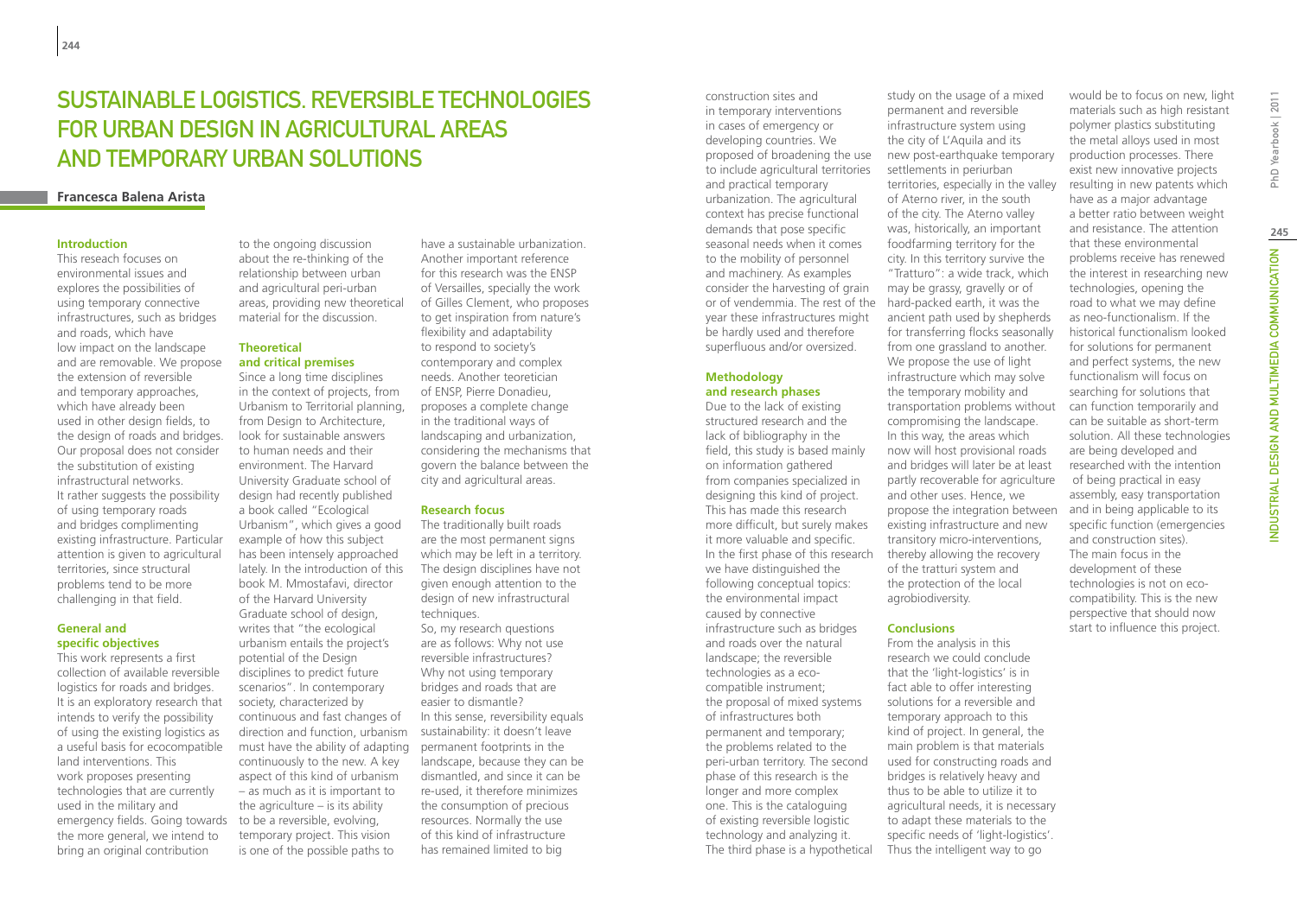# SUSTAINABLE LOGISTICS. REVERSIBLE TECHNOLOGIES for urban design in agricultural areas and temporary urban solutions

### **Francesca Balena Arista**

### **Introduction**

This reseach focuses on environmental issues and explores the possibilities of using temporary connective infrastructures, such as bridges and roads, which have low impact on the landscape and are removable. We propose the extension of reversible and temporary approaches, which have already been used in other design fields, to the design of roads and bridges. Our proposal does not consider the substitution of existing infrastructural networks. It rather suggests the possibility of using temporary roads and bridges complimenting existing infrastructure. Particular attention is given to agricultural territories, since structural problems tend to be more challenging in that field.

### **General and specific objectives**

This work represents a first collection of available reversible logistics for roads and bridges. It is an exploratory research that intends to verify the possibility of using the existing logistics as a useful basis for ecocompatible land interventions. This work proposes presenting technologies that are currently used in the military and emergency fields. Going towards the more general, we intend to bring an original contribution

to the ongoing discussion about the re-thinking of the relationship between urban and agricultural peri-urban areas, providing new theoretical material for the discussion.

### **Theoretical and critical premises**

Since a long time disciplines in the context of projects, from Urbanism to Territorial planning, from Design to Architecture. look for sustainable answers to human needs and their environment. The Harvard University Graduate school of design had recently published a book called "Ecological Urbanism", which gives a good example of how this subject has been intensely approached lately. In the introduction of this book M. Mmostafavi, director of the Harvard University Graduate school of design, writes that "the ecological urbanism entails the project's potential of the Design disciplines to predict future scenarios". In contemporary society, characterized by continuous and fast changes of direction and function, urbanism must have the ability of adapting continuously to the new. A key aspect of this kind of urbanism – as much as it is important to the agriculture  $-$  is its ability to be a reversible, evolving, temporary project. This vision is one of the possible paths to

have a sustainable urbanization. Another important reference for this research was the ENSP of Versailles, specially the work of Gilles Clement, who proposes to get inspiration from nature's flexibility and adaptability to respond to society's contemporary and complex needs. Another teoretician of ENSP, Pierre Donadieu, proposes a complete change in the traditional ways of landscaping and urbanization, considering the mechanisms that govern the balance between the city and agricultural areas.

### **Research focus**

The traditionally built roads are the most permanent signs which may be left in a territory. The design disciplines have not given enough attention to the design of new infrastructural techniques. So, my research questions are as follows: Why not use reversible infrastructures? Why not using temporary bridges and roads that are easier to dismantle? In this sense, reversibility equals sustainability: it doesn't leave permanent footprints in the landscape, because they can be dismantled, and since it can be re-used, it therefore minimizes the consumption of precious resources. Normally the use of this kind of infrastructure has remained limited to big

construction sites and in temporary interventions in cases of emergency or developing countries. We proposed of broadening the use to include agricultural territories and practical temporary urbanization. The agricultural context has precise functional demands that pose specific seasonal needs when it comes to the mobility of personnel and machinery. As examples consider the harvesting of grain or of vendemmia. The rest of the year these infrastructures might be hardly used and therefore superfluous and/or oversized.

### **Methodology and research phases**

Due to the lack of existing structured research and the lack of bibliography in the field, this study is based mainly on information gathered from companies specialized in designing this kind of project. This has made this research more difficult, but surely makes it more valuable and specific. In the first phase of this research we have distinguished the following conceptual topics: the environmental impact caused by connective infrastructure such as bridges and roads over the natural landscape; the reversible technologies as a ecocompatible instrument; the proposal of mixed systems of infrastructures both permanent and temporary; the problems related to the peri-urban territory. The second phase of this research is the longer and more complex one. This is the cataloguing of existing reversible logistic technology and analyzing it. The third phase is a hypothetical

study on the usage of a mixed permanent and reversible infrastructure system using the city of L'Aquila and its new post-earthquake temporary settlements in periurban territories, especially in the valley of Aterno river, in the south of the city. The Aterno valley was, historically, an important foodfarming territory for the city. In this territory survive the "Tratturo": a wide track, which may be grassy, gravelly or of hard-packed earth, it was the ancient path used by shepherds for transferring flocks seasonally from one grassland to another. We propose the use of light infrastructure which may solve the temporary mobility and transportation problems without compromising the landscape. In this way, the areas which now will host provisional roads and bridges will later be at least partly recoverable for agriculture and other uses. Hence, we propose the integration between existing infrastructure and new transitory micro-interventions, thereby allowing the recovery of the tratturi system and the protection of the local agrobiodiversity.

### **Conclusions**

From the analysis in this research we could conclude that the 'light-logistics' is in fact able to offer interesting solutions for a reversible and temporary approach to this kind of project. In general, the main problem is that materials used for constructing roads and bridges is relatively heavy and thus to be able to utilize it to agricultural needs, it is necessary to adapt these materials to the specific needs of 'light-logistics'. Thus the intelligent way to go

materials such as high resistant polymer plastics substituting the metal alloys used in most production processes. There exist new innovative projects resulting in new patents which have as a major advantage a better ratio between weight and resistance. The attention that these environmental problems receive has renewed the interest in researching new technologies, opening the road to what we may define as neo-functionalism. If the historical functionalism looked for solutions for permanent and perfect systems, the new functionalism will focus on searching for solutions that can function temporarily and can be suitable as short-term solution. All these technologies are being developed and researched with the intention of being practical in easy assembly, easy transportation and in being applicable to its specific function (emergencies and construction sites). The main focus in the development of these technologies is not on ecocompatibility. This is the new perspective that should now start to influence this project.

would be to focus on new, light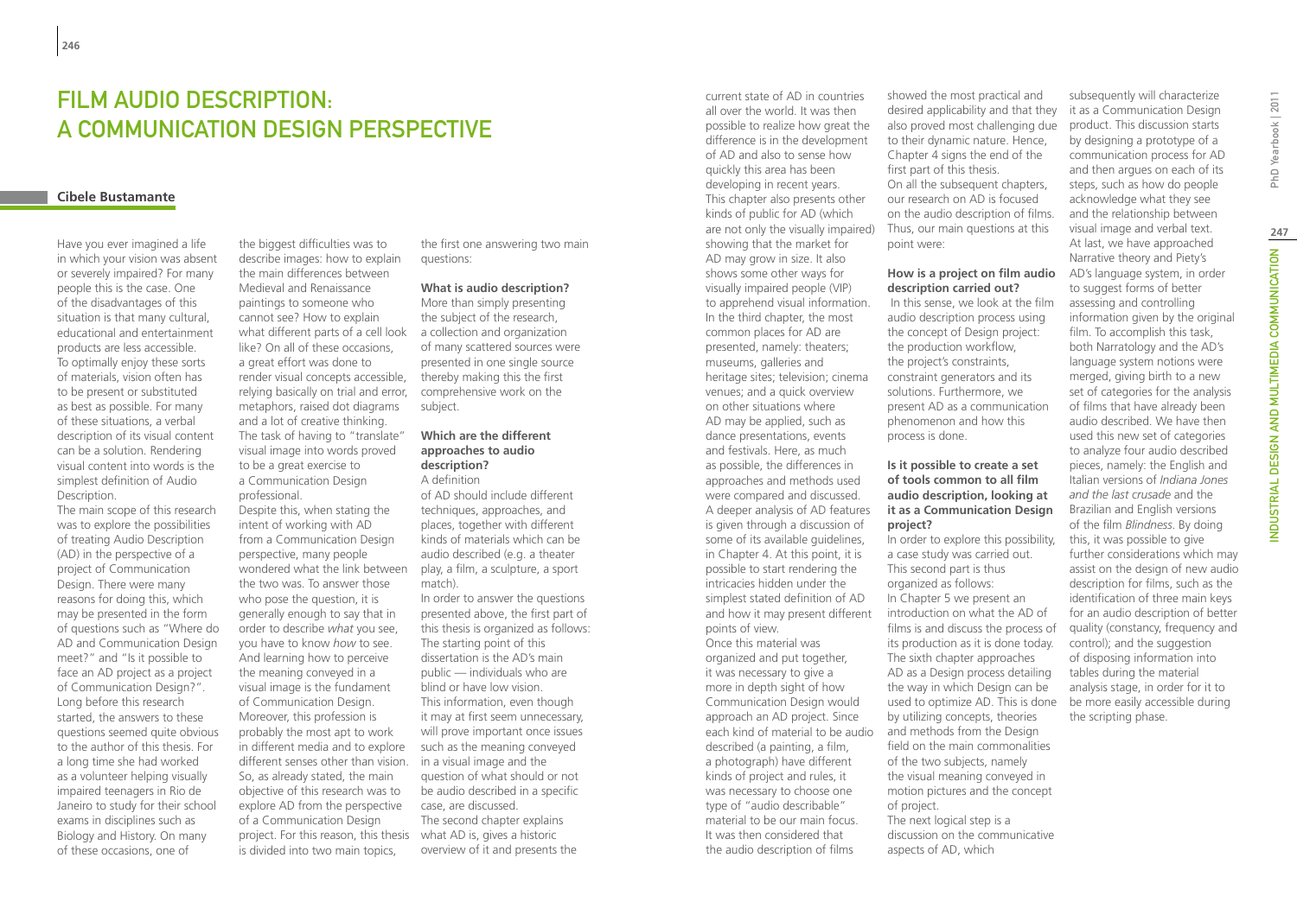# FILM AUDIO DESCRIPTION: A COMMUNICATION DESIGN PERSPECTIVE

### **Cibele Bustamante**

Have you ever imagined a life in which your vision was absent or severely impaired? For many people this is the case. One of the disadvantages of this situation is that many cultural, educational and entertainment products are less accessible. To optimally enjoy these sorts of materials, vision often has to be present or substituted as best as possible. For many of these situations, a verbal description of its visual content can be a solution. Rendering visual content into words is the simplest definition of Audio Description.

The main scope of this research was to explore the possibilities of treating Audio Description (AD) in the perspective of a project of Communication Design. There were many reasons for doing this, which may be presented in the form of questions such as "Where do AD and Communication Design meet?" and "Is it possible to face an AD project as a project of Communication Design?". Long before this research started, the answers to these questions seemed quite obvious to the author of this thesis. For a long time she had worked as a volunteer helping visually impaired teenagers in Rio de Janeiro to study for their school exams in disciplines such as Biology and History. On many of these occasions, one of

the biggest difficulties was to describe images: how to explain the main differences between Medieval and Renaissance paintings to someone who cannot see? How to explain what different parts of a cell look like? On all of these occasions, a great effort was done to render visual concepts accessible, relying basically on trial and error, metaphors, raised dot diagrams and a lot of creative thinking. The task of having to "translate" visual image into words proved to be a great exercise to a Communication Design professional.

Despite this, when stating the intent of working with AD from a Communication Design perspective, many people wondered what the link between the two was. To answer those who pose the question, it is generally enough to say that in order to describe *what* you see, you have to know *how* to see. And learning how to perceive the meaning conveyed in a visual image is the fundament of Communication Design. Moreover, this profession is probably the most apt to work in different media and to explore different senses other than vision. in a visual image and the So, as already stated, the main objective of this research was to explore AD from the perspective of a Communication Design project. For this reason, this thesis what AD is, gives a historic is divided into two main topics,

the first one answering two main questions:

### **What is audio description?**

More than simply presenting the subject of the research, a collection and organization of many scattered sources were presented in one single source thereby making this the first comprehensive work on the subject.

### **Which are the different approaches to audio description?**

A definition of AD should include different techniques, approaches, and places, together with different kinds of materials which can be audio described (e.g. a theater

play, a film, a sculpture, a sport

match). In order to answer the questions presented above, the first part of this thesis is organized as follows: The starting point of this dissertation is the AD's main public — individuals who are blind or have low vision. This information, even though it may at first seem unnecessary, will prove important once issues such as the meaning conveyed question of what should or not be audio described in a specific case, are discussed. The second chapter explains

overview of it and presents the

current state of AD in countries all over the world. It was then possible to realize how great the difference is in the development of AD and also to sense how quickly this area has been developing in recent years. This chapter also presents other kinds of public for AD (which are not only the visually impaired) showing that the market for AD may grow in size. It also shows some other ways for visually impaired people (VIP) to apprehend visual information. In the third chapter, the most common places for AD are presented, namely: theaters; museums, galleries and heritage sites; television; cinema venues; and a quick overview on other situations where AD may be applied, such as dance presentations, events and festivals. Here, as much as possible, the differences in approaches and methods used were compared and discussed. A deeper analysis of AD features is given through a discussion of some of its available guidelines, in Chapter 4. At this point, it is possible to start rendering the intricacies hidden under the simplest stated definition of AD and how it may present different points of view. Once this material was organized and put together, it was necessary to give a more in depth sight of how Communication Design would approach an AD project. Since

each kind of material to be audio described (a painting, a film, a photograph) have different kinds of project and rules, it was necessary to choose one type of "audio describable" material to be our main focus. It was then considered that the audio description of films

showed the most practical and desired applicability and that they also proved most challenging due to their dynamic nature. Hence, Chapter 4 signs the end of the first part of this thesis. On all the subsequent chapters. our research on AD is focused on the audio description of films. Thus, our main questions at this point were:

### **How is a project on film audio description carried out?**

 In this sense, we look at the film audio description process using the concept of Design project: the production workflow, the project's constraints, constraint generators and its solutions. Furthermore, we present AD as a communication phenomenon and how this process is done.

### **Is it possible to create a set of tools common to all film audio description, looking at it as a Communication Design project?**

In order to explore this possibility, a case study was carried out. This second part is thus organized as follows: In Chapter 5 we present an introduction on what the AD of films is and discuss the process of its production as it is done today. The sixth chapter approaches AD as a Design process detailing the way in which Design can be used to optimize AD. This is done by utilizing concepts, theories and methods from the Design field on the main commonalities of the two subjects, namely the visual meaning conveyed in motion pictures and the concept of project. The next logical step is a discussion on the communicative aspects of AD, which

subsequently will characterize it as a Communication Design product. This discussion starts by designing a prototype of a communication process for AD and then argues on each of its steps, such as how do people acknowledge what they see and the relationship between visual image and verbal text. At last, we have approached Narrative theory and Piety's AD's language system, in order to suggest forms of better assessing and controlling information given by the original film. To accomplish this task, both Narratology and the AD's language system notions were merged, giving birth to a new set of categories for the analysis of films that have already been audio described. We have then used this new set of categories to analyze four audio described pieces, namely: the English and Italian versions of *Indiana Jones and the last crusade* and the Brazilian and English versions of the film *Blindness*. By doing this, it was possible to give further considerations which may assist on the design of new audio description for films, such as the identification of three main keys for an audio description of better quality (constancy, frequency and control); and the suggestion of disposing information into tables during the material analysis stage, in order for it to be more easily accessible during

the scripting phase.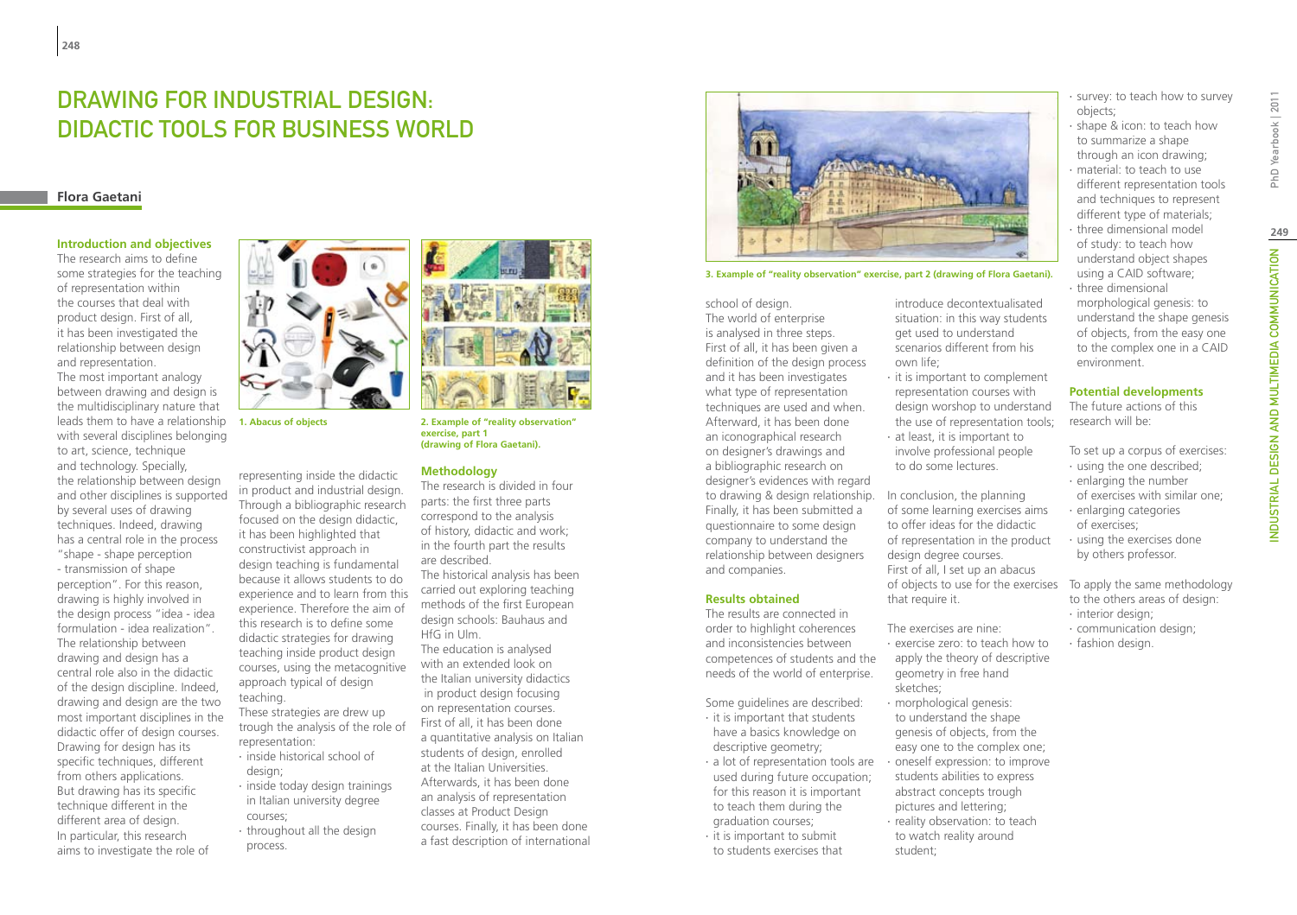# Drawing for industrial design: didactic tools for business world

### **Flora Gaetani**

### **Introduction and objectives**

The research aims to define some strategies for the teaching of representation within the courses that deal with product design. First of all, it has been investigated the relationship between design and representation.

The most important analogy between drawing and design is the multidisciplinary nature that leads them to have a relationship with several disciplines belonging to art, science, technique and technology. Specially, the relationship between design and other disciplines is supported by several uses of drawing techniques. Indeed, drawing has a central role in the process "shape - shape perception - transmission of shape perception". For this reason, drawing is highly involved in the design process "idea - idea formulation - idea realization". The relationship between drawing and design has a central role also in the didactic of the design discipline. Indeed, drawing and design are the two most important disciplines in the didactic offer of design courses. Drawing for design has its specific techniques, different from others applications. But drawing has its specific technique different in the different area of design. In particular, this research aims to investigate the role of



representing inside the didactic in product and industrial design. focused on the design didactic, it has been highlighted that constructivist approach in design teaching is fundamental because it allows students to do this research is to define some didactic strategies for drawing teaching inside product design approach typical of design

- These strategies are drew up trough the analysis of the role of representation: ∙ inside historical school of
- ∙ inside today design trainings in Italian university degree courses;
- ∙ throughout all the design process.



Through a bibliographic research experience and to learn from this experience. Therefore the aim of courses, using the metacognitive teaching.

- design;
- 
- 

**1. Abacus of objects 2. Example of "reality observation" exercise, part 1 (drawing of Flora Gaetani).**

### **Methodology**

The research is divided in four parts: the first three parts correspond to the analysis of history, didactic and work; in the fourth part the results are described. The historical analysis has been carried out exploring teaching methods of the first European design schools: Bauhaus and HfG in Ulm. The education is analysed with an extended look on the Italian university didactics in product design focusing on representation courses. First of all, it has been done a quantitative analysis on Italian students of design, enrolled at the Italian Universities. Afterwards, it has been done

an analysis of representation classes at Product Design courses. Finally, it has been done a fast description of international



**3. Example of "reality observation" exercise, part 2 (drawing of Flora Gaetani).**

### school of design. The world of enterprise

is analysed in three steps. First of all, it has been given a definition of the design process and it has been investigates what type of representation techniques are used and when. Afterward, it has been done an iconographical research on designer's drawings and a bibliographic research on designer's evidences with regard to drawing & design relationship. In conclusion, the planning Finally, it has been submitted a questionnaire to some design company to understand the relationship between designers and companies.

### **Results obtained**

The results are connected in order to highlight coherences and inconsistencies between competences of students and the needs of the world of enterprise.

Some guidelines are described: ∙ it is important that students

- have a basics knowledge on descriptive geometry; ∙ a lot of representation tools are
- used during future occupation; for this reason it is important to teach them during the graduation courses;
- ∙ it is important to submit to students exercises that

introduce decontextualisated situation: in this way students get used to understand scenarios different from his own life;

- ∙ it is important to complement representation courses with design worshop to understand the use of representation tools;
- ∙ at least, it is important to involve professional people to do some lectures.

of some learning exercises aims to offer ideas for the didactic of representation in the product design degree courses. First of all, I set up an abacus of objects to use for the exercises that require it.

The exercises are nine: ∙ exercise zero: to teach how to apply the theory of descriptive geometry in free hand

sketches; ∙ morphological genesis: to understand the shape genesis of objects, from the easy one to the complex one; ∙ oneself expression: to improve students abilities to express abstract concepts trough pictures and lettering; ∙ reality observation: to teach to watch reality around student;

∙ survey: to teach how to survey objects;

- ∙ shape & icon: to teach how to summarize a shape through an icon drawing;
- ∙ material: to teach to use different representation tools and techniques to represent
- different type of materials; ∙ three dimensional model of study: to teach how understand object shapes using a CAID software;
- ∙ three dimensional morphological genesis: to understand the shape genesis of objects, from the easy one to the complex one in a CAID
- environment. **Potential developments**

The future actions of this research will be:

To set up a corpus of exercises:

- ∙ using the one described; ∙ enlarging the number
- of exercises with similar one;
- ∙ enlarging categories of exercises;
- ∙ using the exercises done by others professor.

To apply the same methodology to the others areas of design: ∙ interior design;

- 
- ∙ communication design;
- ∙ fashion design.

INDUSTRIAL DESIGN AND MULTIMEDIA COMMUNICATION PhD Yearbook | 2011 NDUSTRIAL DESIGN AND MULTIMEDIA COMMUNICATION

**249**

PhD Yearbook | 2011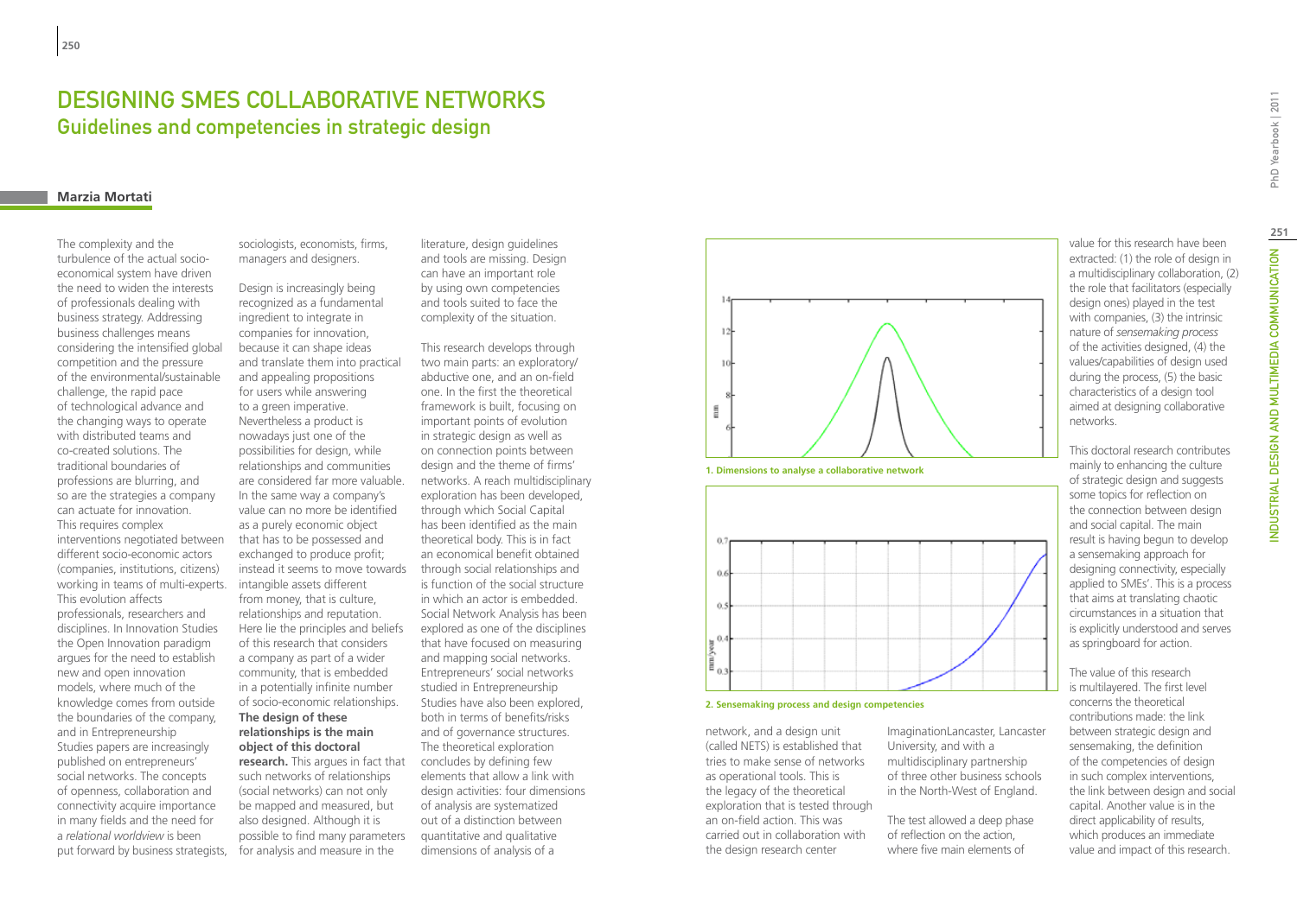# DESIGNING SMES COLLABORATIVE NETWORKS Guidelines and competencies in strategic design

### **Marzia Mortati**

The complexity and the turbulence of the actual socioeconomical system have driven the need to widen the interests of professionals dealing with business strategy. Addressing business challenges means considering the intensified global competition and the pressure of the environmental/sustainable challenge, the rapid pace of technological advance and the changing ways to operate with distributed teams and co-created solutions. The traditional boundaries of professions are blurring, and so are the strategies a company can actuate for innovation. This requires complex interventions negotiated between different socio-economic actors (companies, institutions, citizens) working in teams of multi-experts. This evolution affects professionals, researchers and disciplines. In Innovation Studies the Open Innovation paradigm argues for the need to establish new and open innovation models, where much of the knowledge comes from outside the boundaries of the company, and in Entrepreneurship Studies papers are increasingly published on entrepreneurs' social networks. The concepts of openness, collaboration and connectivity acquire importance in many fields and the need for a *relational worldview* is been put forward by business strategists, sociologists, economists, firms, managers and designers.

Design is increasingly being recognized as a fundamental ingredient to integrate in companies for innovation, because it can shape ideas and translate them into practical and appealing propositions for users while answering to a green imperative. Nevertheless a product is nowadays just one of the possibilities for design, while relationships and communities are considered far more valuable. In the same way a company's value can no more be identified as a purely economic object that has to be possessed and exchanged to produce profit; instead it seems to move towards through social relationships and intangible assets different from money, that is culture, relationships and reputation. Here lie the principles and beliefs of this research that considers a company as part of a wider community, that is embedded in a potentially infinite number of socio-economic relationships. **The design of these relationships is the main object of this doctoral research.** This argues in fact that such networks of relationships (social networks) can not only

be mapped and measured, but also designed. Although it is possible to find many parameters for analysis and measure in the

literature, design guidelines and tools are missing. Design can have an important role by using own competencies and tools suited to face the complexity of the situation.

This research develops through two main parts: an exploratory/ abductive one, and an on-field one. In the first the theoretical framework is built, focusing on important points of evolution in strategic design as well as on connection points between design and the theme of firms' networks. A reach multidisciplinary exploration has been developed, through which Social Capital has been identified as the main theoretical body. This is in fact an economical benefit obtained is function of the social structure in which an actor is embedded. Social Network Analysis has been explored as one of the disciplines that have focused on measuring and mapping social networks. Entrepreneurs' social networks studied in Entrepreneurship Studies have also been explored, both in terms of benefits/risks and of governance structures. The theoretical exploration concludes by defining few elements that allow a link with design activities: four dimensions of analysis are systematized out of a distinction between quantitative and qualitative dimensions of analysis of a







network, and a design unit (called NETS) is established that tries to make sense of networks as operational tools. This is the legacy of the theoretical exploration that is tested through an on-field action. This was carried out in collaboration with the design research center

ImaginationLancaster, Lancaster University, and with a multidisciplinary partnership of three other business schools in the North-West of England.

The test allowed a deep phase of reflection on the action, where five main elements of

value for this research have been extracted: (1) the role of design in a multidisciplinary collaboration, (2) the role that facilitators (especially design ones) played in the test with companies, (3) the intrinsic nature of *sensemaking process* of the activities designed, (4) the values/capabilities of design used during the process, (5) the basic characteristics of a design tool aimed at designing collaborative networks.

This doctoral research contributes mainly to enhancing the culture of strategic design and suggests some topics for reflection on the connection between design and social capital. The main result is having begun to develop a sensemaking approach for designing connectivity, especially applied to SMEs'. This is a process that aims at translating chaotic circumstances in a situation that is explicitly understood and serves as springboard for action.

The value of this research is multilayered. The first level concerns the theoretical contributions made: the link between strategic design and sensemaking, the definition of the competencies of design in such complex interventions, the link between design and social capital. Another value is in the direct applicability of results, which produces an immediate value and impact of this research.

**251**

NDUSTRIAL DESIGN AND MULTIMEDIA COMMUNICATION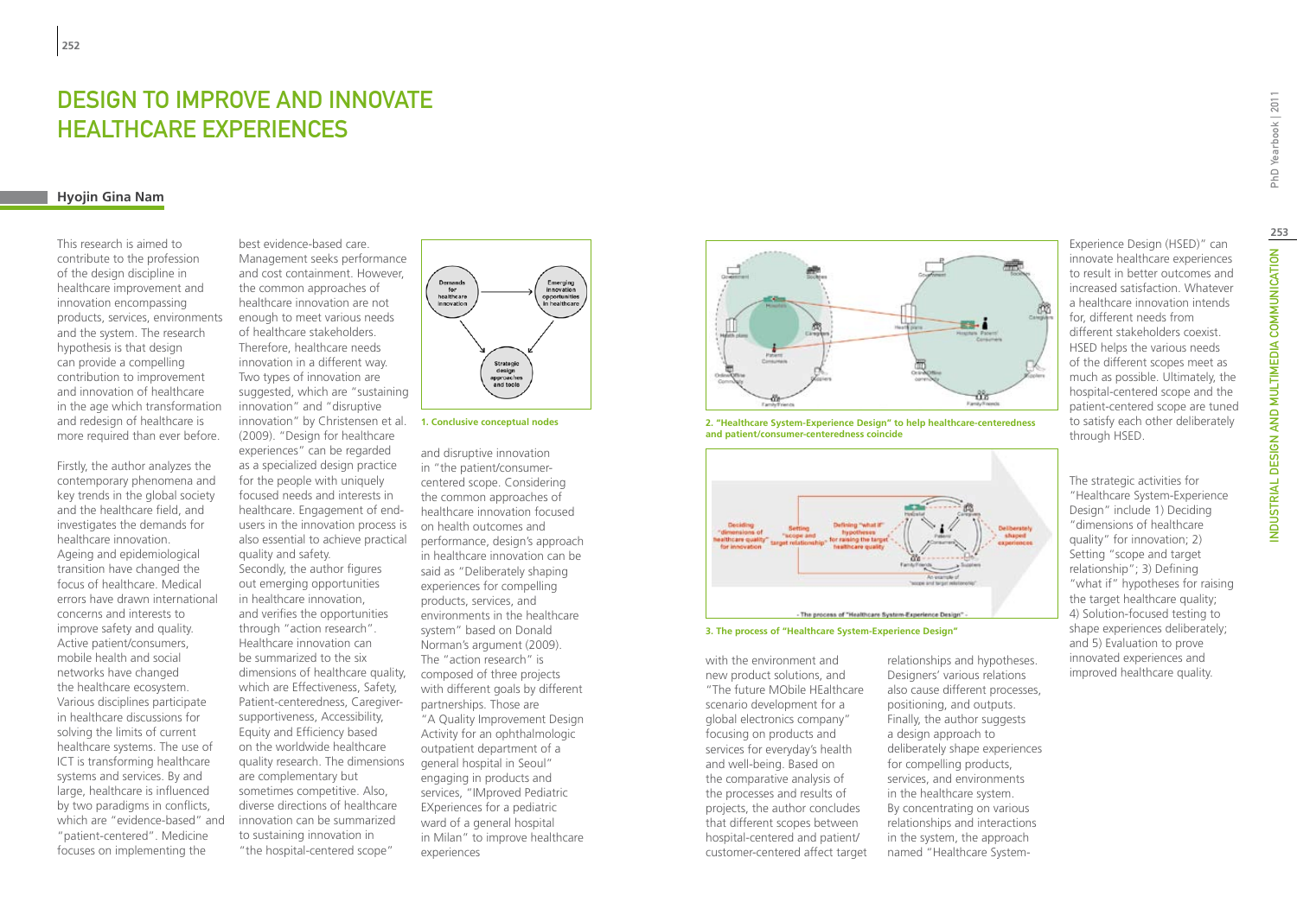# Design to Improve and Innovate Healthcare Experiences

### **Hyojin Gina Nam**

This research is aimed to contribute to the profession of the design discipline in healthcare improvement and innovation encompassing products, services, environments and the system. The research hypothesis is that design can provide a compelling contribution to improvement and innovation of healthcare in the age which transformation and redesign of healthcare is more required than ever before.

Firstly, the author analyzes the contemporary phenomena and key trends in the global society and the healthcare field, and investigates the demands for healthcare innovation. Ageing and epidemiological transition have changed the focus of healthcare. Medical errors have drawn international concerns and interests to improve safety and quality. Active patient/consumers, mobile health and social networks have changed the healthcare ecosystem. Various disciplines participate in healthcare discussions for solving the limits of current healthcare systems. The use of ICT is transforming healthcare systems and services. By and large, healthcare is influenced by two paradigms in conflicts, which are "evidence-based" and "patient-centered". Medicine focuses on implementing the

best evidence-based care. Management seeks performance and cost containment. However, the common approaches of healthcare innovation are not enough to meet various needs of healthcare stakeholders. Therefore, healthcare needs innovation in a different way. Two types of innovation are suggested, which are "sustaining innovation" and "disruptive innovation" by Christensen et al. **1. Conclusive conceptual nodes** (2009). "Design for healthcare experiences" can be regarded as a specialized design practice for the people with uniquely focused needs and interests in healthcare. Engagement of endusers in the innovation process is also essential to achieve practical quality and safety. Secondly, the author figures out emerging opportunities in healthcare innovation, and verifies the opportunities through "action research". Healthcare innovation can be summarized to the six dimensions of healthcare quality, which are Effectiveness, Safety, Patient-centeredness, Caregiversupportiveness, Accessibility, Equity and Efficiency based on the worldwide healthcare quality research. The dimensions are complementary but sometimes competitive. Also, diverse directions of healthcare innovation can be summarized to sustaining innovation in "the hospital-centered scope"





and disruptive innovation in "the patient/consumercentered scope. Considering the common approaches of healthcare innovation focused on health outcomes and performance, design's approach in healthcare innovation can be said as "Deliberately shaping experiences for compelling products, services, and environments in the healthcare system" based on Donald Norman's argument (2009). The "action research" is composed of three projects with different goals by different partnerships. Those are "A Quality Improvement Design Activity for an ophthalmologic outpatient department of a general hospital in Seoul" engaging in products and services, "IMproved Pediatric EXperiences for a pediatric ward of a general hospital in Milan" to improve healthcare experiences



**2. "Healthcare System-Experience Design" to help healthcare-centeredness and patient/consumer-centeredness coincide**



**3. The process of "Healthcare System-Experience Design"** 

with the environment and new product solutions, and "The future MObile HEalthcare scenario development for a global electronics company" focusing on products and services for everyday's health and well-being. Based on the comparative analysis of the processes and results of projects, the author concludes that different scopes between hospital-centered and patient/ customer-centered affect target

relationships and hypotheses. Designers' various relations also cause different processes, positioning, and outputs. Finally, the author suggests a design approach to deliberately shape experiences for compelling products, services, and environments in the healthcare system. By concentrating on various relationships and interactions in the system, the approach named "Healthcare SystemExperience Design (HSED)" can innovate healthcare experiences to result in better outcomes and increased satisfaction. Whatever a healthcare innovation intends for, different needs from different stakeholders coexist. HSED helps the various needs of the different scopes meet as much as possible. Ultimately, the hospital-centered scope and the patient-centered scope are tuned to satisfy each other deliberately through HSED.

The strategic activities for "Healthcare System-Experience Design" include 1) Deciding "dimensions of healthcare quality" for innovation; 2) Setting "scope and target relationship"; 3) Defining "what if" hypotheses for raising the target healthcare quality; 4) Solution-focused testing to shape experiences deliberately; and 5) Evaluation to prove innovated experiences and improved healthcare quality.

INDUSTRIAL DESIGN AND MULTIMEDIA COMMUNICATION PhD Yearbook | 2011 **253**NDUSTRIAL DESIGN AND MULTIMEDIA COMMUNICATION

PhD Yearbook | 2011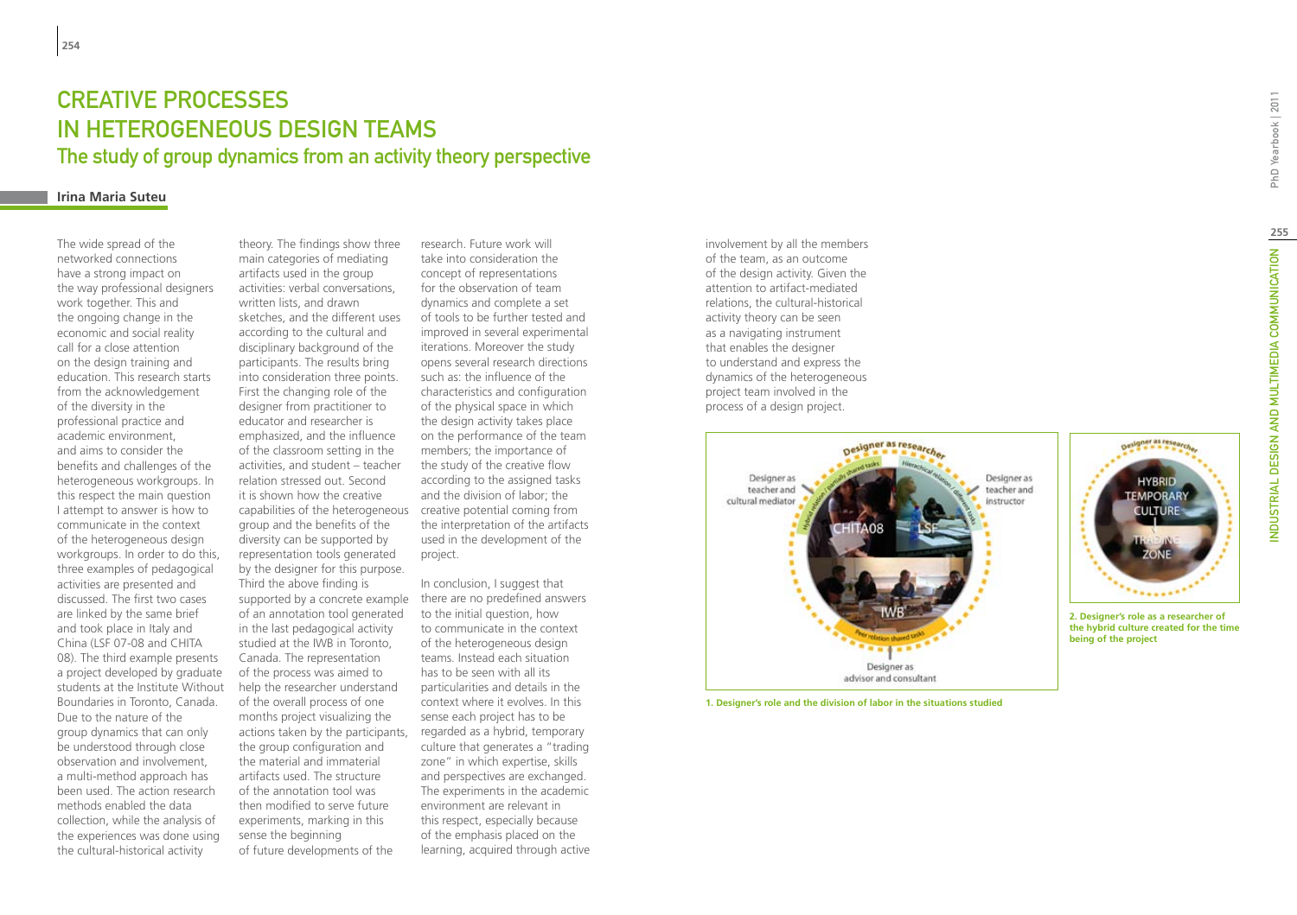# Creative processes in heterogeneous design teams The study of group dynamics from an activity theory perspective

### **Irina Maria Suteu**

The wide spread of the networked connections have a strong impact on the way professional designers work together. This and the ongoing change in the economic and social reality call for a close attention on the design training and education. This research starts from the acknowledgement of the diversity in the professional practice and academic environment, and aims to consider the benefits and challenges of the heterogeneous workgroups. In this respect the main question I attempt to answer is how to communicate in the context of the heterogeneous design workgroups. In order to do this, three examples of pedagogical activities are presented and discussed. The first two cases are linked by the same brief and took place in Italy and China (LSF 07-08 and CHITA 08). The third example presents a project developed by graduate students at the Institute Without Boundaries in Toronto, Canada. Due to the nature of the group dynamics that can only be understood through close observation and involvement, a multi-method approach has been used. The action research methods enabled the data collection, while the analysis of the experiences was done using the cultural-historical activity

theory. The findings show three main categories of mediating artifacts used in the group activities: verbal conversations, written lists, and drawn sketches, and the different uses according to the cultural and disciplinary background of the participants. The results bring into consideration three points. First the changing role of the designer from practitioner to educator and researcher is emphasized, and the influence of the classroom setting in the activities, and student – teacher relation stressed out. Second it is shown how the creative capabilities of the heterogeneous creative potential coming from group and the benefits of the diversity can be supported by representation tools generated by the designer for this purpose. Third the above finding is supported by a concrete example of an annotation tool generated in the last pedagogical activity studied at the IWB in Toronto, Canada. The representation of the process was aimed to help the researcher understand of the overall process of one months project visualizing the actions taken by the participants, the group configuration and the material and immaterial artifacts used. The structure of the annotation tool was then modified to serve future experiments, marking in this sense the beginning of future developments of the

research. Future work will take into consideration the concept of representations for the observation of team dynamics and complete a set of tools to be further tested and improved in several experimental iterations. Moreover the study opens several research directions such as: the influence of the characteristics and configuration of the physical space in which the design activity takes place on the performance of the team members; the importance of the study of the creative flow according to the assigned tasks and the division of labor; the the interpretation of the artifacts used in the development of the project.

In conclusion, I suggest that there are no predefined answers to the initial question, how to communicate in the context of the heterogeneous design teams. Instead each situation has to be seen with all its particularities and details in the context where it evolves. In this sense each project has to be regarded as a hybrid, temporary culture that generates a "trading zone" in which expertise, skills and perspectives are exchanged. The experiments in the academic environment are relevant in this respect, especially because of the emphasis placed on the learning, acquired through active involvement by all the members of the team, as an outcome of the design activity. Given the attention to artifact-mediated relations, the cultural-historical activity theory can be seen as a navigating instrument that enables the designer to understand and express the dynamics of the heterogeneous project team involved in the process of a design project.



**1. Designer's role and the division of labor in the situations studied**

# Orsigner as resea **EMPORARY FULTURE**

**2. Designer's role as a researcher of the hybrid culture created for the time being of the project**

PhD Yearbook | 2011